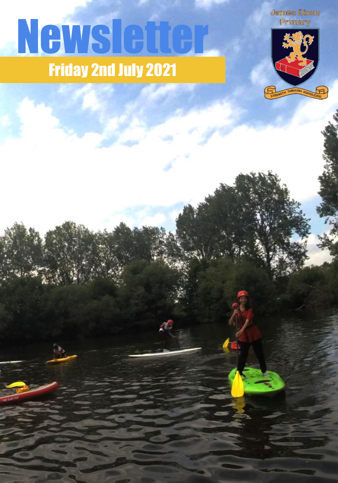# Friday 2nd July 2021 **Newslette**

**James Dixon** Primary

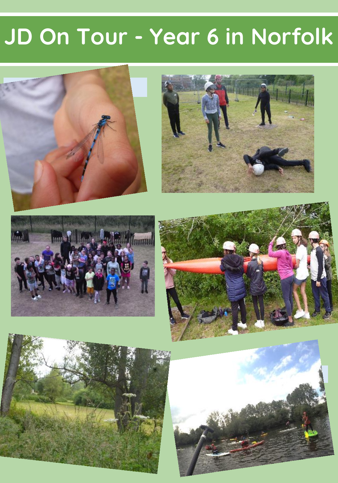#### **JD On Tour - Year 6 in Norfolk**

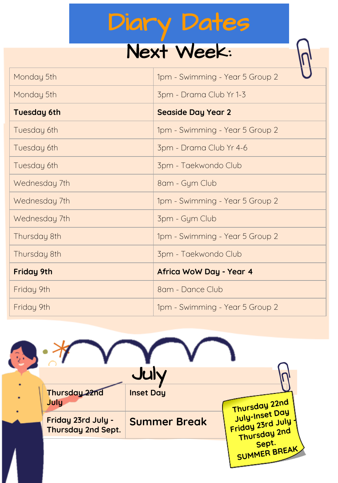#### Diary Dates

#### Next Week:

| Monday 5th         | 1pm - Swimming - Year 5 Group 2 |
|--------------------|---------------------------------|
| Monday 5th         | 3pm - Drama Club Yr 1-3         |
| <b>Tuesday 6th</b> | <b>Seaside Day Year 2</b>       |
| Tuesday 6th        | 1pm - Swimming - Year 5 Group 2 |
| Tuesday 6th        | 3pm - Drama Club Yr 4-6         |
| Tuesday 6th        | 3pm - Taekwondo Club            |
| Wednesday 7th      | 8am - Gym Club                  |
| Wednesday 7th      | 1pm - Swimming - Year 5 Group 2 |
| Wednesday 7th      | 3pm - Gym Club                  |
| Thursday 8th       | 1pm - Swimming - Year 5 Group 2 |
| Thursday 8th       | 3pm - Taekwondo Club            |
| <b>Friday 9th</b>  | Africa WoW Day - Year 4         |
| Friday 9th         | 8am - Dance Club                |
| Friday 9th         | 1pm - Swimming - Year 5 Group 2 |

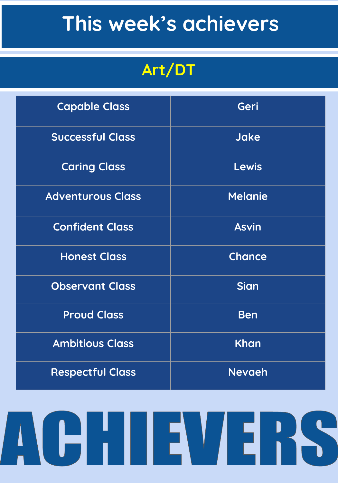#### **This week's achievers**

#### **Art/DT**

| <b>Capable Class</b>     | Geri           |
|--------------------------|----------------|
| <b>Successful Class</b>  | <b>Jake</b>    |
| <b>Caring Class</b>      | <b>Lewis</b>   |
| <b>Adventurous Class</b> | <b>Melanie</b> |
| <b>Confident Class</b>   | <b>Asvin</b>   |
| <b>Honest Class</b>      | <b>Chance</b>  |
| <b>Observant Class</b>   | <b>Sian</b>    |
| <b>Proud Class</b>       | <b>Ben</b>     |
| <b>Ambitious Class</b>   | Khan           |
| <b>Respectful Class</b>  | <b>Nevaeh</b>  |

# ACHII EVIERS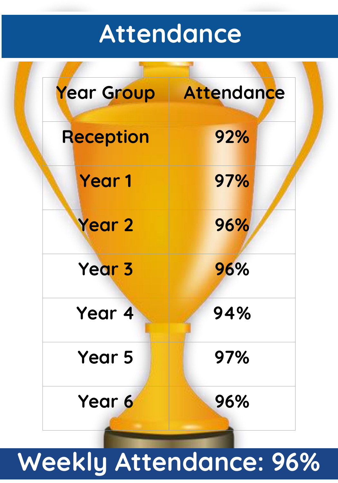#### **Attendance**

| Year Group | <b>Attendance</b> |
|------------|-------------------|
| Reception  | 92%               |
| Year 1     | 97%               |
| Year 2     | 96%               |
| Year 3     | 96%               |
| Year<br>4  | 94%               |
| Year 5     | 97%               |
| Year 6     | 96%               |

## **Weekly Attendance: 96%**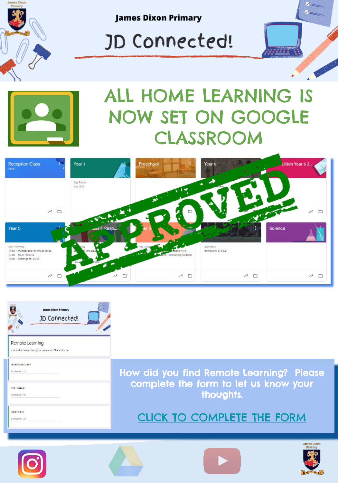



Satawwww

How did you find Remote Learning? Please complete the form to let us know your thoughts.

[CLICK TO COMPLETE THE FORM](https://forms.gle/BYDjnnBqdshimQXi9)







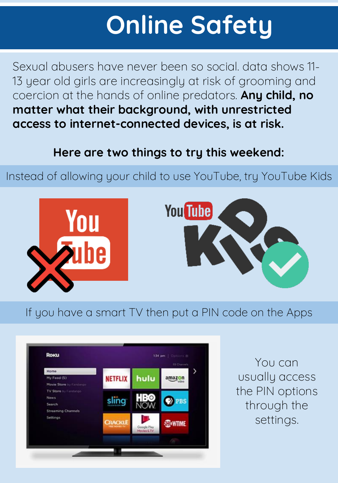## **Online Safety**

Sexual abusers have never been so social. data shows 11- 13 year old girls are increasingly at risk of grooming and coercion at the hands of online predators. **Any child, no matter what their background, with unrestricted access to internet-connected devices, is at risk.**

#### **Here are two things to try this weekend:**

Instead of allowing your child to use YouTube, try YouTube Kids





If you have a smart TV then put a PIN code on the Apps



You can usually access the PIN options through the settings.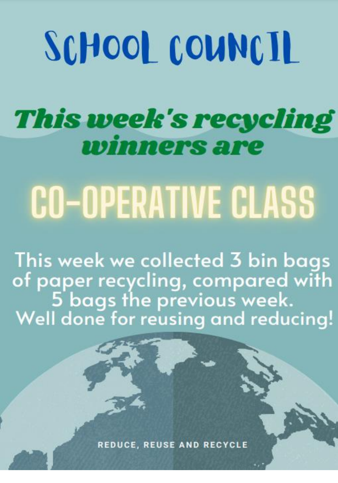# SCHOOL COUNCIL

#### This week's recycling *winners are*

# **CO-OPERATIVE CLASS**

This week we collected 3 bin bags of paper recycling, compared with<br>5 bags the previous week.<br>Well done for reusing and reducing!

**REDUCE, REUSE AND RECYCLE**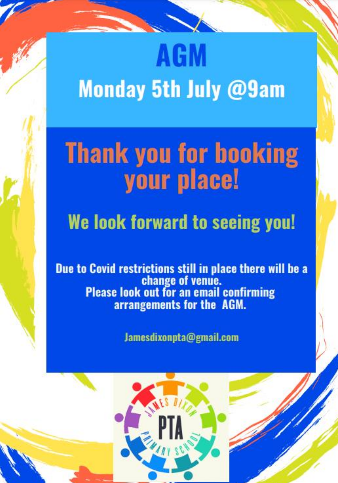# **AGM Monday 5th July @9am**

## **Thank you for booking** your place!

#### We look forward to seeing you!

Due to Covid restrictions still in place there will be a change of venue.<br>Please look out for an email confirming arrangements for the AGM.

Jamesdixonpta@gmail.com